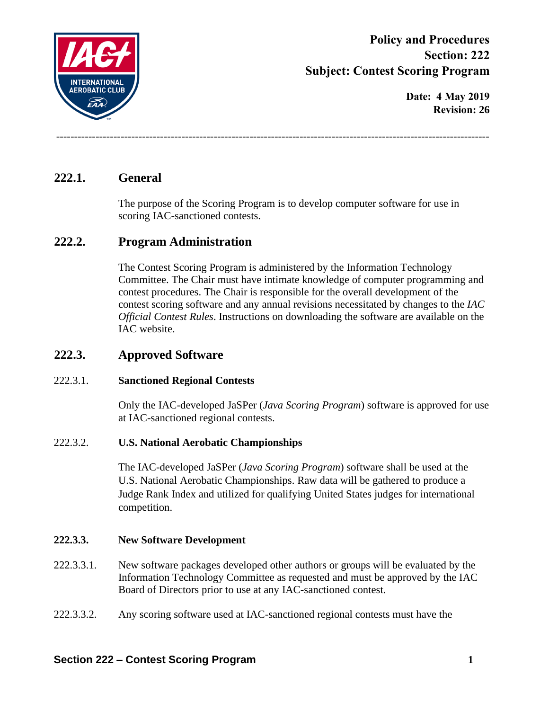

**Policy and Procedures Section: 222 Subject: Contest Scoring Program**

> **Date: 4 May 2019 Revision: 26**

# **222.1. General**

The purpose of the Scoring Program is to develop computer software for use in scoring IAC-sanctioned contests.

-------------------------------------------------------------------------------------------------------------------------

## **222.2. Program Administration**

The Contest Scoring Program is administered by the Information Technology Committee. The Chair must have intimate knowledge of computer programming and contest procedures. The Chair is responsible for the overall development of the contest scoring software and any annual revisions necessitated by changes to the *IAC Official Contest Rules*. Instructions on downloading the software are available on the IAC website.

## **222.3. Approved Software**

### 222.3.1. **Sanctioned Regional Contests**

Only the IAC-developed JaSPer (*Java Scoring Program*) software is approved for use at IAC-sanctioned regional contests.

### 222.3.2. **U.S. National Aerobatic Championships**

The IAC-developed JaSPer (*Java Scoring Program*) software shall be used at the U.S. National Aerobatic Championships. Raw data will be gathered to produce a Judge Rank Index and utilized for qualifying United States judges for international competition.

### **222.3.3. New Software Development**

- 222.3.3.1. New software packages developed other authors or groups will be evaluated by the Information Technology Committee as requested and must be approved by the IAC Board of Directors prior to use at any IAC-sanctioned contest.
- 222.3.3.2. Any scoring software used at IAC-sanctioned regional contests must have the

### **Section 222 – Contest Scoring Program 1**